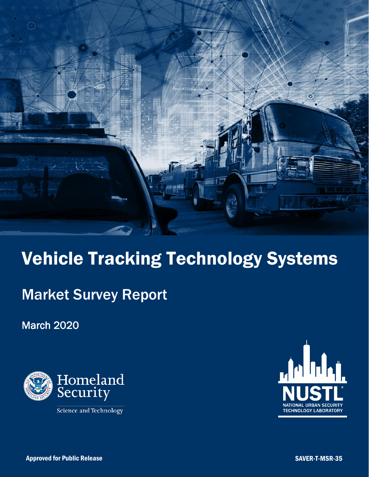

# Vehicle Tracking Technology Systems

## Market Survey Report

March 2020



Science and Technology

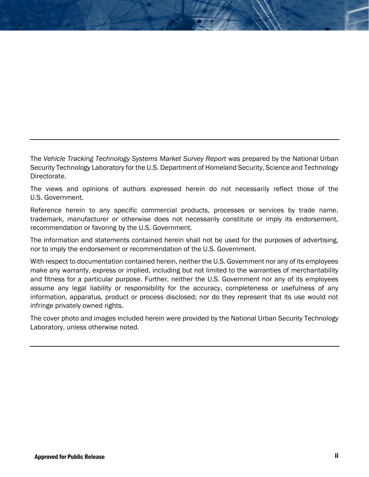The *Vehicle Tracking Technology Systems Market Survey Report* was prepared by the National Urban Security Technology Laboratory for the U.S. Department of Homeland Security, Science and Technology Directorate.

The views and opinions of authors expressed herein do not necessarily reflect those of the U.S. Government.

Reference herein to any specific commercial products, processes or services by trade name, trademark, manufacturer or otherwise does not necessarily constitute or imply its endorsement, recommendation or favoring by the U.S. Government.

The information and statements contained herein shall not be used for the purposes of advertising, nor to imply the endorsement or recommendation of the U.S. Government.

With respect to documentation contained herein, neither the U.S. Government nor any of its employees make any warranty, express or implied, including but not limited to the warranties of merchantability and fitness for a particular purpose. Further, neither the U.S. Government nor any of its employees assume any legal liability or responsibility for the accuracy, completeness or usefulness of any information, apparatus, product or process disclosed; nor do they represent that its use would not infringe privately owned rights.

The cover photo and images included herein were provided by the National Urban Security Technology Laboratory, unless otherwise noted.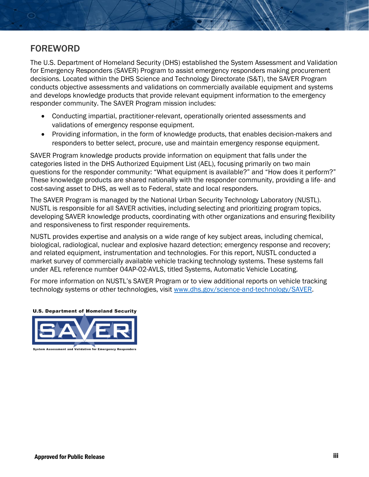## FOREWORD

The U.S. Department of Homeland Security (DHS) established the System Assessment and Validation for Emergency Responders (SAVER) Program to assist emergency responders making procurement decisions. Located within the DHS Science and Technology Directorate (S&T), the SAVER Program conducts objective assessments and validations on commercially available equipment and systems and develops knowledge products that provide relevant equipment information to the emergency responder community. The SAVER Program mission includes:

- Conducting impartial, practitioner-relevant, operationally oriented assessments and validations of emergency response equipment.
- Providing information, in the form of knowledge products, that enables decision-makers and responders to better select, procure, use and maintain emergency response equipment.

SAVER Program knowledge products provide information on equipment that falls under the categories listed in the DHS Authorized Equipment List (AEL), focusing primarily on two main questions for the responder community: "What equipment is available?" and "How does it perform?" These knowledge products are shared nationally with the responder community, providing a life- and cost-saving asset to DHS, as well as to Federal, state and local responders.

The SAVER Program is managed by the National Urban Security Technology Laboratory (NUSTL). NUSTL is responsible for all SAVER activities, including selecting and prioritizing program topics, developing SAVER knowledge products, coordinating with other organizations and ensuring flexibility and responsiveness to first responder requirements.

NUSTL provides expertise and analysis on a wide range of key subject areas, including chemical, biological, radiological, nuclear and explosive hazard detection; emergency response and recovery; and related equipment, instrumentation and technologies. For this report, NUSTL conducted a market survey of commercially available vehicle tracking technology systems. These systems fall under AEL reference number 04AP-02-AVLS, titled Systems, Automatic Vehicle Locating.

For more information on NUSTL's SAVER Program or to view additional reports on vehicle tracking technology systems or other technologies, visit [www.dhs.gov/science-and-technology/SAVER.](http://www.dhs.gov/science-and-technology/SAVER)



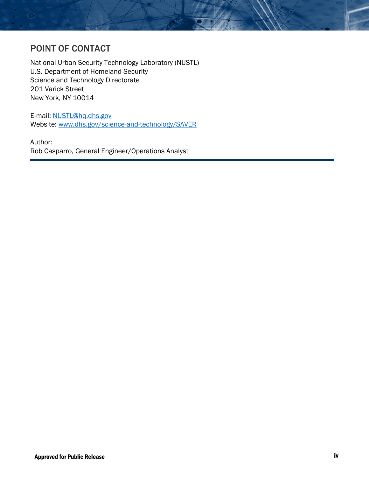## POINT OF CONTACT

National Urban Security Technology Laboratory (NUSTL) U.S. Department of Homeland Security Science and Technology Directorate 201 Varick Street New York, NY 10014

E-mail: [NUSTL@hq.dhs.gov](mailto:NUSTL@hq.dhs.gov) Website: [www.dhs.gov/science-and-technology/SAVER](http://www.dhs.gov/science-and-technology/SAVER) 

Author: Rob Casparro, General Engineer/Operations Analyst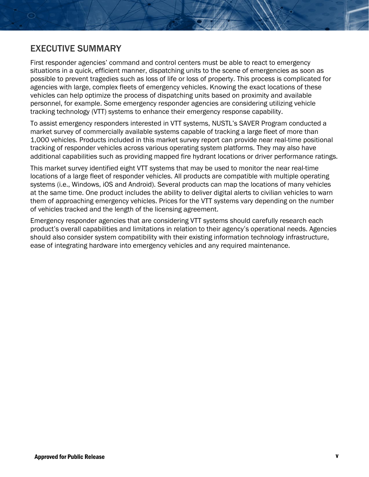## EXECUTIVE SUMMARY

First responder agencies' command and control centers must be able to react to emergency situations in a quick, efficient manner, dispatching units to the scene of emergencies as soon as possible to prevent tragedies such as loss of life or loss of property. This process is complicated for agencies with large, complex fleets of emergency vehicles. Knowing the exact locations of these vehicles can help optimize the process of dispatching units based on proximity and available personnel, for example. Some emergency responder agencies are considering utilizing vehicle tracking technology (VTT) systems to enhance their emergency response capability.

To assist emergency responders interested in VTT systems, NUSTL's SAVER Program conducted a market survey of commercially available systems capable of tracking a large fleet of more than 1,000 vehicles. Products included in this market survey report can provide near real-time positional tracking of responder vehicles across various operating system platforms. They may also have additional capabilities such as providing mapped fire hydrant locations or driver performance ratings.

This market survey identified eight VTT systems that may be used to monitor the near real-time locations of a large fleet of responder vehicles. All products are compatible with multiple operating systems (i.e., Windows, iOS and Android). Several products can map the locations of many vehicles at the same time. One product includes the ability to deliver digital alerts to civilian vehicles to warn them of approaching emergency vehicles. Prices for the VTT systems vary depending on the number of vehicles tracked and the length of the licensing agreement.

Emergency responder agencies that are considering VTT systems should carefully research each product's overall capabilities and limitations in relation to their agency's operational needs. Agencies should also consider system compatibility with their existing information technology infrastructure, ease of integrating hardware into emergency vehicles and any required maintenance.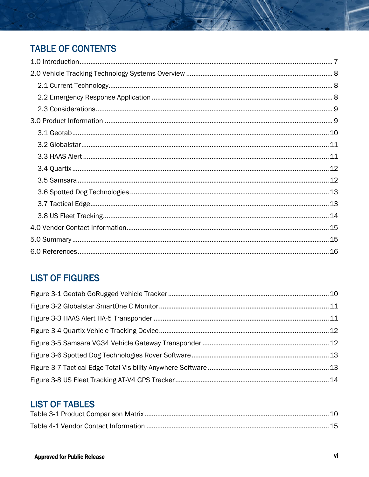## **TABLE OF CONTENTS**

## **LIST OF FIGURES**

## **LIST OF TABLES**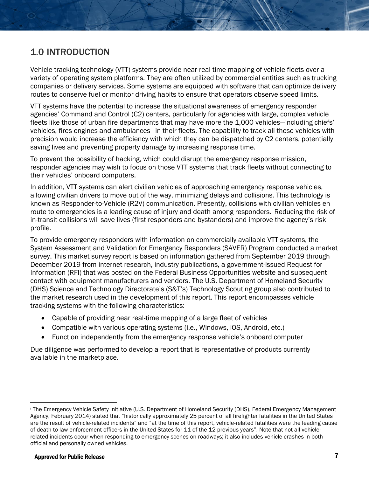## <span id="page-6-0"></span>1.0 INTRODUCTION

Vehicle tracking technology (VTT) systems provide near real-time mapping of vehicle fleets over a variety of operating system platforms. They are often utilized by commercial entities such as trucking companies or delivery services. Some systems are equipped with software that can optimize delivery routes to conserve fuel or monitor driving habits to ensure that operators observe speed limits.

VTT systems have the potential to increase the situational awareness of emergency responder agencies' Command and Control (C2) centers, particularly for agencies with large, complex vehicle fleets like those of urban fire departments that may have more the 1,000 vehicles—including chiefs' vehicles, fires engines and ambulances—in their fleets. The capability to track all these vehicles with precision would increase the efficiency with which they can be dispatched by C2 centers, potentially saving lives and preventing property damage by increasing response time.

To prevent the possibility of hacking, which could disrupt the emergency response mission, responder agencies may wish to focus on those VTT systems that track fleets without connecting to their vehicles' onboard computers.

In addition, VTT systems can alert civilian vehicles of approaching emergency response vehicles, allowing civilian drivers to move out of the way, minimizing delays and collisions. This technology is known as Responder-to-Vehicle (R2V) communication. Presently, collisions with civilian vehicles en route to emergencies is a leading cause of injury and death among responders.<sup>i</sup> Reducing the risk of in-transit collisions will save lives (first responders and bystanders) and improve the agency's risk profile.

To provide emergency responders with information on commercially available VTT systems, the System Assessment and Validation for Emergency Responders (SAVER) Program conducted a market survey. This market survey report is based on information gathered from September 2019 through December 2019 from internet research, industry publications, a government-issued Request for Information (RFI) that was posted on the Federal Business Opportunities website and subsequent contact with equipment manufacturers and vendors. The U.S. Department of Homeland Security (DHS) Science and Technology Directorate's (S&T's) Technology Scouting group also contributed to the market research used in the development of this report. This report encompasses vehicle tracking systems with the following characteristics:

- Capable of providing near real-time mapping of a large fleet of vehicles
- Compatible with various operating systems (i.e., Windows, iOS, Android, etc.)
- Function independently from the emergency response vehicle's onboard computer

Due diligence was performed to develop a report that is representative of products currently available in the marketplace.

l

i The Emergency Vehicle Safety Initiative (U.S. Department of Homeland Security (DHS), Federal Emergency Management Agency, February 2014) stated that "historically approximately 25 percent of all firefighter fatalities in the United States are the result of vehicle-related incidents" and "at the time of this report, vehicle-related fatalities were the leading cause of death to law enforcement officers in the United States for 11 of the 12 previous years". Note that not all vehiclerelated incidents occur when responding to emergency scenes on roadways; it also includes vehicle crashes in both official and personally owned vehicles.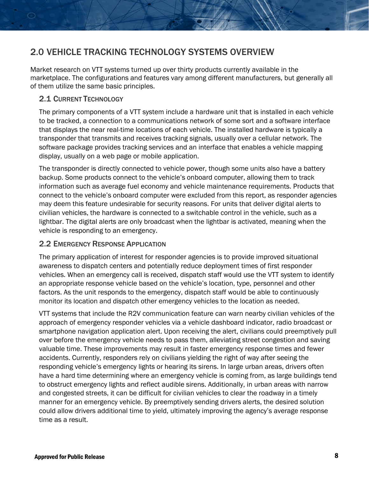## <span id="page-7-0"></span>2.0 VEHICLE TRACKING TECHNOLOGY SYSTEMS OVERVIEW

Market research on VTT systems turned up over thirty products currently available in the marketplace. The configurations and features vary among different manufacturers, but generally all of them utilize the same basic principles.

#### <span id="page-7-1"></span>2.1 CURRENT TECHNOLOGY

The primary components of a VTT system include a hardware unit that is installed in each vehicle to be tracked, a connection to a communications network of some sort and a software interface that displays the near real-time locations of each vehicle. The installed hardware is typically a transponder that transmits and receives tracking signals, usually over a cellular network. The software package provides tracking services and an interface that enables a vehicle mapping display, usually on a web page or mobile application.

The transponder is directly connected to vehicle power, though some units also have a battery backup. Some products connect to the vehicle's onboard computer, allowing them to track information such as average fuel economy and vehicle maintenance requirements. Products that connect to the vehicle's onboard computer were excluded from this report, as responder agencies may deem this feature undesirable for security reasons. For units that deliver digital alerts to civilian vehicles, the hardware is connected to a switchable control in the vehicle, such as a lightbar. The digital alerts are only broadcast when the lightbar is activated, meaning when the vehicle is responding to an emergency.

#### <span id="page-7-2"></span>2.2 EMERGENCY RESPONSE APPLICATION

The primary application of interest for responder agencies is to provide improved situational awareness to dispatch centers and potentially reduce deployment times of first responder vehicles. When an emergency call is received, dispatch staff would use the VTT system to identify an appropriate response vehicle based on the vehicle's location, type, personnel and other factors. As the unit responds to the emergency, dispatch staff would be able to continuously monitor its location and dispatch other emergency vehicles to the location as needed.

VTT systems that include the R2V communication feature can warn nearby civilian vehicles of the approach of emergency responder vehicles via a vehicle dashboard indicator, radio broadcast or smartphone navigation application alert. Upon receiving the alert, civilians could preemptively pull over before the emergency vehicle needs to pass them, alleviating street congestion and saving valuable time. These improvements may result in faster emergency response times and fewer accidents. Currently, responders rely on civilians yielding the right of way after seeing the responding vehicle's emergency lights or hearing its sirens. In large urban areas, drivers often have a hard time determining where an emergency vehicle is coming from, as large buildings tend to obstruct emergency lights and reflect audible sirens. Additionally, in urban areas with narrow and congested streets, it can be difficult for civilian vehicles to clear the roadway in a timely manner for an emergency vehicle. By preemptively sending drivers alerts, the desired solution could allow drivers additional time to yield, ultimately improving the agency's average response time as a result.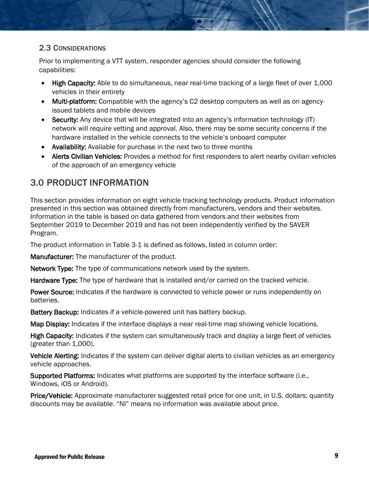#### <span id="page-8-0"></span>2.3 CONSIDERATIONS

Prior to implementing a VTT system, responder agencies should consider the following capabilities:

- High Capacity: Able to do simultaneous, near real-time tracking of a large fleet of over 1,000 vehicles in their entirety
- Multi-platform: Compatible with the agency's C2 desktop computers as well as on agencyissued tablets and mobile devices
- Security: Any device that will be integrated into an agency's information technology (IT) network will require vetting and approval. Also, there may be some security concerns if the hardware installed in the vehicle connects to the vehicle's onboard computer
- Availability: Available for purchase in the next two to three months
- Alerts Civilian Vehicles: Provides a method for first responders to alert nearby civilian vehicles of the approach of an emergency vehicle

## <span id="page-8-1"></span>3.0 PRODUCT INFORMATION

This section provides information on eight vehicle tracking technology products. Product information presented in this section was obtained directly from manufacturers, vendors and their websites. Information in the table is based on data gathered from vendors and their websites from September 2019 to December 2019 and has not been independently verified by the SAVER Program.

The product information in Table 3-1 is defined as follows, listed in column order:

Manufacturer: The manufacturer of the product.

Network Type: The type of communications network used by the system.

Hardware Type: The type of hardware that is installed and/or carried on the tracked vehicle.

Power Source: Indicates if the hardware is connected to vehicle power or runs independently on batteries.

Battery Backup: Indicates if a vehicle-powered unit has battery backup.

Map Display: Indicates if the interface displays a near real-time map showing vehicle locations.

High Capacity: Indicates if the system can simultaneously track and display a large fleet of vehicles (greater than 1,000).

Vehicle Alerting: Indicates if the system can deliver digital alerts to civilian vehicles as an emergency vehicle approaches.

Supported Platforms: Indicates what platforms are supported by the interface software (i.e., Windows, iOS or Android).

Price/Vehicle: Approximate manufacturer suggested retail price for one unit, in U.S. dollars; quantity discounts may be available. "NI" means no information was available about price.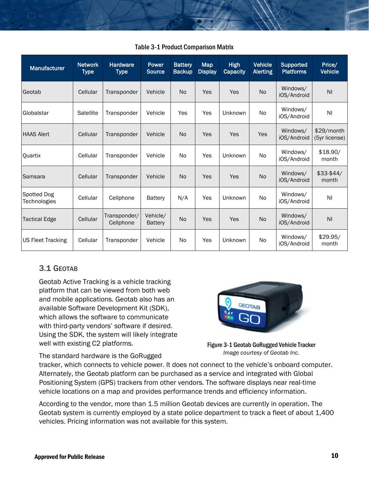<span id="page-9-2"></span>

| Manufacturer                | <b>Network</b><br><b>Type</b> | <b>Hardware</b><br><b>Type</b> | Power<br><b>Source</b>     | <b>Battery</b><br><b>Backup</b> | <b>Map</b><br><b>Display</b> | <b>High</b><br><b>Capacity</b> | <b>Vehicle</b><br><b>Alerting</b> | <b>Supported</b><br><b>Platforms</b> | Price/<br><b>Vehicle</b>    |
|-----------------------------|-------------------------------|--------------------------------|----------------------------|---------------------------------|------------------------------|--------------------------------|-----------------------------------|--------------------------------------|-----------------------------|
| Geotab                      | Cellular                      | Transponder                    | Vehicle                    | N <sub>o</sub>                  | Yes                          | Yes                            | No.                               | Windows/<br>iOS/Android              | N <sub>l</sub>              |
| Globalstar                  | Satellite                     | Transponder                    | Vehicle                    | Yes                             | Yes                          | Unknown                        | No                                | Windows/<br>iOS/Android              | ΝI                          |
| <b>HAAS Alert</b>           | Cellular                      | Transponder                    | Vehicle                    | <b>No</b>                       | Yes                          | Yes                            | Yes                               | Windows/<br>iOS/Android              | \$29/month<br>(5yr license) |
| Quartix                     | Cellular                      | Transponder                    | Vehicle                    | N <sub>o</sub>                  | Yes                          | Unknown                        | No                                | Windows/<br>iOS/Android              | \$18.90/<br>month           |
| Samsara                     | Cellular                      | Transponder                    | Vehicle                    | <b>No</b>                       | Yes                          | Yes                            | <b>No</b>                         | Windows/<br>iOS/Android              | $$33-$44/$<br>month         |
| Spotted Dog<br>Technologies | Cellular                      | Cellphone                      | Battery                    | N/A                             | Yes                          | Unknown                        | No.                               | Windows/<br>iOS/Android              | ΝI                          |
| <b>Tactical Edge</b>        | Cellular                      | Transponder/<br>Cellphone      | Vehicle/<br><b>Battery</b> | <b>No</b>                       | Yes                          | Yes                            | No                                | Windows/<br>iOS/Android              | N <sub>l</sub>              |
| <b>US Fleet Tracking</b>    | Cellular                      | Transponder                    | Vehicle                    | N <sub>o</sub>                  | Yes                          | Unknown                        | No                                | Windows/<br>iOS/Android              | \$29.95/<br>month           |

#### Table 3-1 Product Comparison Matrix

#### <span id="page-9-0"></span>3.1 GEOTAB

◯

Geotab Active Tracking is a vehicle tracking platform that can be viewed from both web and mobile applications. Geotab also has an available Software Development Kit (SDK), which allows the software to communicate with third-party vendors' software if desired. Using the SDK, the system will likely integrate well with existing C2 platforms.



The standard hardware is the GoRugged

<span id="page-9-1"></span>Figure 3-1 Geotab GoRugged Vehicle Tracker *Image courtesy of Geotab Inc.* 

tracker, which connects to vehicle power. It does not connect to the vehicle's onboard computer. Alternately, the Geotab platform can be purchased as a service and integrated with Global Positioning System (GPS) trackers from other vendors. The software displays near real-time vehicle locations on a map and provides performance trends and efficiency information.

According to the vendor, more than 1.5 million Geotab devices are currently in operation. The Geotab system is currently employed by a state police department to track a fleet of about 1,400 vehicles. Pricing information was not available for this system.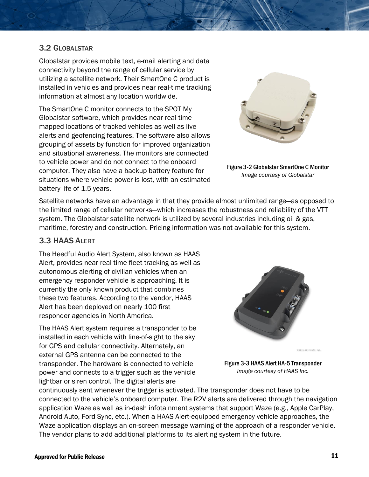#### <span id="page-10-0"></span>3.2 GLOBALSTAR

Globalstar provides mobile text, e-mail alerting and data connectivity beyond the range of cellular service by utilizing a satellite network. Their SmartOne C product is installed in vehicles and provides near real-time tracking information at almost any location worldwide.

The SmartOne C monitor connects to the SPOT My Globalstar software, which provides near real-time mapped locations of tracked vehicles as well as live alerts and geofencing features. The software also allows grouping of assets by function for improved organization and situational awareness. The monitors are connected to vehicle power and do not connect to the onboard computer. They also have a backup battery feature for situations where vehicle power is lost, with an estimated battery life of 1.5 years.

<span id="page-10-2"></span>

Figure 3-2 Globalstar SmartOne C Monitor *Image courtesy of Globalstar* 

Satellite networks have an advantage in that they provide almost unlimited range―as opposed to the limited range of cellular networks―which increases the robustness and reliability of the VTT system. The Globalstar satellite network is utilized by several industries including oil & gas, maritime, forestry and construction. Pricing information was not available for this system.

#### <span id="page-10-1"></span>3.3 HAAS ALERT

The Heedful Audio Alert System, also known as HAAS Alert, provides near real-time fleet tracking as well as autonomous alerting of civilian vehicles when an emergency responder vehicle is approaching. It is currently the only known product that combines these two features. According to the vendor, HAAS Alert has been deployed on nearly 100 first responder agencies in North America.

The HAAS Alert system requires a transponder to be installed in each vehicle with line-of-sight to the sky for GPS and cellular connectivity. Alternately, an external GPS antenna can be connected to the transponder. The hardware is connected to vehicle power and connects to a trigger such as the vehicle lightbar or siren control. The digital alerts are

<span id="page-10-3"></span>

Figure 3-3 HAAS Alert HA-5 Transponder *Image courtesy of HAAS Inc.* 

continuously sent whenever the trigger is activated. The transponder does not have to be connected to the vehicle's onboard computer. The R2V alerts are delivered through the navigation application Waze as well as in-dash infotainment systems that support Waze (e.g., Apple CarPlay, Android Auto, Ford Sync, etc.). When a HAAS Alert-equipped emergency vehicle approaches, the Waze application displays an on-screen message warning of the approach of a responder vehicle. The vendor plans to add additional platforms to its alerting system in the future.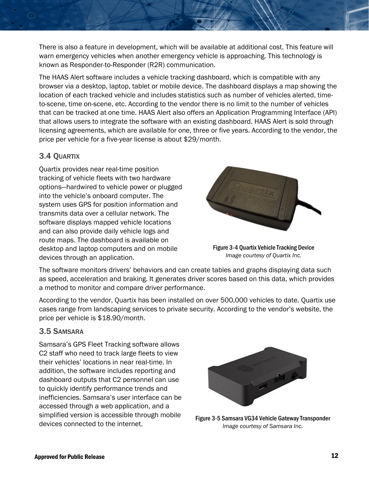There is also a feature in development, which will be available at additional cost. This feature will warn emergency vehicles when another emergency vehicle is approaching. This technology is known as Responder-to-Responder (R2R) communication.

The HAAS Alert software includes a vehicle tracking dashboard, which is compatible with any browser via a desktop, laptop, tablet or mobile device. The dashboard displays a map showing the location of each tracked vehicle and includes statistics such as number of vehicles alerted, timeto-scene, time on-scene, etc. According to the vendor there is no limit to the number of vehicles that can be tracked at one time. HAAS Alert also offers an Application Programming Interface (API) that allows users to integrate the software with an existing dashboard. HAAS Alert is sold through licensing agreements, which are available for one, three or five years. According to the vendor, the price per vehicle for a five-year license is about \$29/month.

#### <span id="page-11-0"></span>3.4 QUARTIX

Quartix provides near real-time position tracking of vehicle fleets with two hardware options―hardwired to vehicle power or plugged into the vehicle's onboard computer. The system uses GPS for position information and transmits data over a cellular network. The software displays mapped vehicle locations and can also provide daily vehicle logs and route maps. The dashboard is available on desktop and laptop computers and on mobile devices through an application.

<span id="page-11-2"></span>

Figure 3-4 Quartix Vehicle Tracking Device *Image courtesy of Quartix Inc.* 

The software monitors drivers' behaviors and can create tables and graphs displaying data such as speed, acceleration and braking. It generates driver scores based on this data, which provides a method to monitor and compare driver performance.

According to the vendor, Quartix has been installed on over 500,000 vehicles to date. Quartix use cases range from landscaping services to private security. According to the vendor's website, the price per vehicle is \$18.90/month.

#### <span id="page-11-1"></span>3.5 SAMSARA

Samsara's GPS Fleet Tracking software allows C2 staff who need to track large fleets to view their vehicles' locations in near real-time. In addition, the software includes reporting and dashboard outputs that C2 personnel can use to quickly identify performance trends and inefficiencies. Samsara's user interface can be accessed through a web application, and a simplified version is accessible through mobile devices connected to the internet.

<span id="page-11-3"></span>

Figure 3-5 Samsara VG34 Vehicle Gateway Transponder *Image courtesy of Samsara Inc.*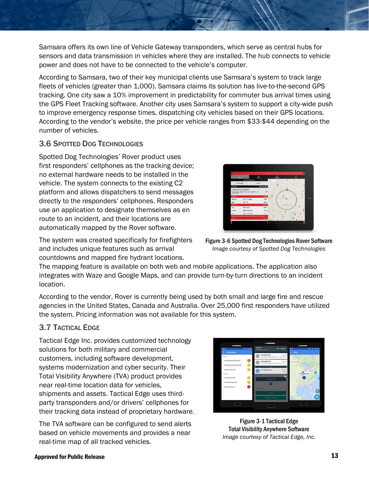Samsara offers its own line of Vehicle Gateway transponders, which serve as central hubs for sensors and data transmission in vehicles where they are installed. The hub connects to vehicle power and does not have to be connected to the vehicle's computer.

According to Samsara, two of their key municipal clients use Samsara's system to track large fleets of vehicles (greater than 1,000). Samsara claims its solution has live-to-the-second GPS tracking. One city saw a 10% improvement in predictability for commuter bus arrival times using the GPS Fleet Tracking software. Another city uses Samsara's system to support a city-wide push to improve emergency response times, dispatching city vehicles based on their GPS locations. According to the vendor's website, the price per vehicle ranges from \$33-\$44 depending on the number of vehicles.

#### <span id="page-12-0"></span>3.6 SPOTTED DOG TECHNOLOGIES

Spotted Dog Technologies' Rover product uses first responders' cellphones as the tracking device; no external hardware needs to be installed in the vehicle. The system connects to the existing C2 platform and allows dispatchers to send messages directly to the responders' cellphones. Responders use an application to designate themselves as en route to an incident, and their locations are automatically mapped by the Rover software.



The system was created specifically for firefighters and includes unique features such as arrival countdowns and mapped fire hydrant locations.

<span id="page-12-2"></span>Figure 3-6 Spotted Dog Technologies Rover Software *Image courtesy of Spotted Dog Technologies* 

The mapping feature is available on both web and mobile applications. The application also integrates with Waze and Google Maps, and can provide turn-by-turn directions to an incident location.

According to the vendor, Rover is currently being used by both small and large fire and rescue agencies in the United States, Canada and Australia. Over 25,000 first responders have utilized the system. Pricing information was not available for this system.

#### <span id="page-12-1"></span>3.7 TACTICAL EDGE

Tactical Edge Inc. provides customized technology solutions for both military and commercial customers, including software development, systems modernization and cyber security. Their Total Visibility Anywhere (TVA) product provides near real-time location data for vehicles, shipments and assets. Tactical Edge uses thirdparty transponders and/or drivers' cellphones for their tracking data instead of proprietary hardware.

The TVA software can be configured to send alerts based on vehicle movements and provides a near real-time map of all tracked vehicles.



<span id="page-12-3"></span>Figure 3-1 Tactical Edge Total Visibility Anywhere Software *Image courtesy of Tactical Edge, Inc.*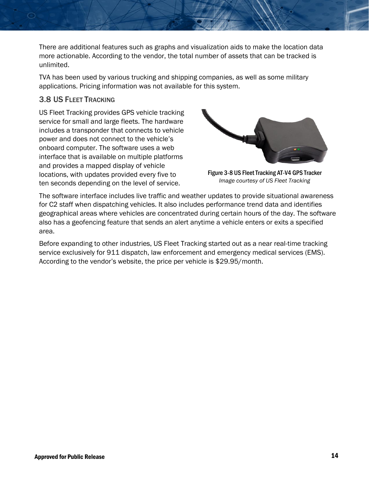There are additional features such as graphs and visualization aids to make the location data more actionable. According to the vendor, the total number of assets that can be tracked is unlimited.

TVA has been used by various trucking and shipping companies, as well as some military applications. Pricing information was not available for this system.

#### <span id="page-13-0"></span>3.8 US FLEET TRACKING

US Fleet Tracking provides GPS vehicle tracking service for small and large fleets. The hardware includes a transponder that connects to vehicle power and does not connect to the vehicle's onboard computer. The software uses a web interface that is available on multiple platforms and provides a mapped display of vehicle locations, with updates provided every five to ten seconds depending on the level of service.

<span id="page-13-1"></span>

Figure 3-8 US Fleet Tracking AT-V4 GPS Tracker *Image courtesy of US Fleet Tracking* 

The software interface includes live traffic and weather updates to provide situational awareness for C2 staff when dispatching vehicles. It also includes performance trend data and identifies geographical areas where vehicles are concentrated during certain hours of the day. The software also has a geofencing feature that sends an alert anytime a vehicle enters or exits a specified area.

Before expanding to other industries, US Fleet Tracking started out as a near real-time tracking service exclusively for 911 dispatch, law enforcement and emergency medical services (EMS). According to the vendor's website, the price per vehicle is \$29.95/month.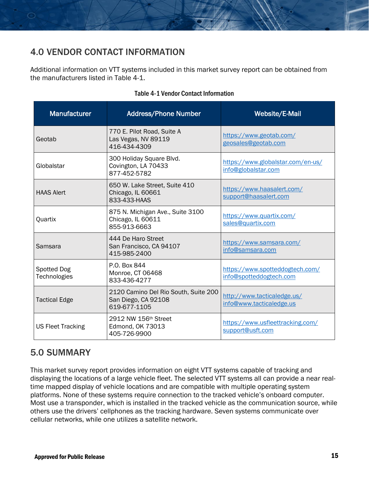## <span id="page-14-0"></span>4.0 VENDOR CONTACT INFORMATION

Additional information on VTT systems included in this market survey report can be obtained from the manufacturers listed in Table 4-1.

<span id="page-14-2"></span>

| <b>Manufacturer</b>                | <b>Address/Phone Number</b>                                                 | Website/E-Mail                                             |
|------------------------------------|-----------------------------------------------------------------------------|------------------------------------------------------------|
| Geotab                             | 770 E. Pilot Road, Suite A<br>Las Vegas, NV 89119<br>416-434-4309           | https://www.geotab.com/<br>geosales@geotab.com             |
| Globalstar                         | 300 Holiday Square Blvd.<br>Covington, LA 70433<br>877-452-5782             | https://www.globalstar.com/en-us/<br>info@globalstar.com   |
| <b>HAAS Alert</b>                  | 650 W. Lake Street, Suite 410<br>Chicago, IL 60661<br>833-433-HAAS          | https://www.haasalert.com/<br>support@haasalert.com        |
| Quartix                            | 875 N. Michigan Ave., Suite 3100<br>Chicago, IL 60611<br>855-913-6663       | https://www.quartix.com/<br>sales@quartix.com              |
| Samsara                            | 444 De Haro Street<br>San Francisco, CA 94107<br>415-985-2400               | https://www.samsara.com/<br>info@samsara.com               |
| <b>Spotted Dog</b><br>Technologies | P.O. Box 844<br>Monroe, CT 06468<br>833-436-4277                            | https://www.spotteddogtech.com/<br>info@spotteddogtech.com |
| <b>Tactical Edge</b>               | 2120 Camino Del Rio South, Suite 200<br>San Diego, CA 92108<br>619-677-1105 | http://www.tacticaledge.us/<br>info@www.tacticaledge.us    |
| <b>US Fleet Tracking</b>           | 2912 NW 156th Street<br>Edmond, OK 73013<br>405-726-9900                    | https://www.usfleettracking.com/<br>support@usft.com       |

#### Table 4-1 Vendor Contact Information

## <span id="page-14-1"></span>5.0 SUMMARY

This market survey report provides information on eight VTT systems capable of tracking and displaying the locations of a large vehicle fleet. The selected VTT systems all can provide a near realtime mapped display of vehicle locations and are compatible with multiple operating system platforms. None of these systems require connection to the tracked vehicle's onboard computer. Most use a transponder, which is installed in the tracked vehicle as the communication source, while others use the drivers' cellphones as the tracking hardware. Seven systems communicate over cellular networks, while one utilizes a satellite network.